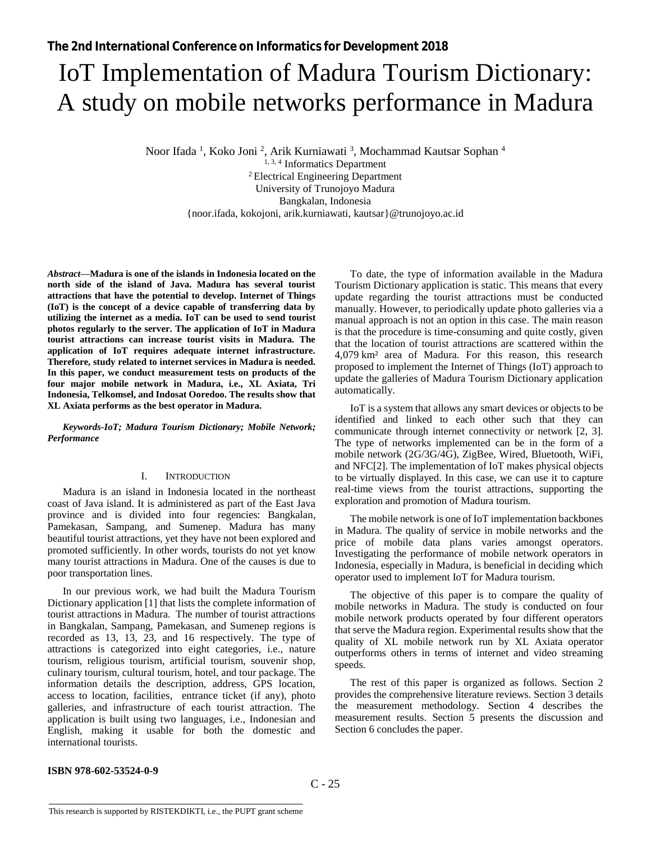# IoT Implementation of Madura Tourism Dictionary: A study on mobile networks performance in Madura

Noor Ifada <sup>1</sup>, Koko Joni <sup>2</sup>, Arik Kurniawati <sup>3</sup>, Mochammad Kautsar Sophan <sup>4</sup>

<sup>1, 3, 4</sup> Informatics Department <sup>2</sup>Electrical Engineering Department University of Trunojoyo Madura Bangkalan, Indonesia {noor.ifada, kokojoni, arik.kurniawati, kautsar}@trunojoyo.ac.id

*Abstract***—Madura is one of the islands in Indonesia located on the north side of the island of Java. Madura has several tourist attractions that have the potential to develop. Internet of Things (IoT) is the concept of a device capable of transferring data by utilizing the internet as a media. IoT can be used to send tourist photos regularly to the server. The application of IoT in Madura tourist attractions can increase tourist visits in Madura. The application of IoT requires adequate internet infrastructure. Therefore, study related to internet services in Madura is needed. In this paper, we conduct measurement tests on products of the four major mobile network in Madura, i.e., XL Axiata, Tri Indonesia, Telkomsel, and Indosat Ooredoo. The results show that XL Axiata performs as the best operator in Madura.**

*Keywords-IoT; Madura Tourism Dictionary; Mobile Network; Performance*

## I. INTRODUCTION

Madura is an island in Indonesia located in the northeast coast of Java island. It is administered as part of the East Java province and is divided into four regencies: Bangkalan, Pamekasan, Sampang, and Sumenep. Madura has many beautiful tourist attractions, yet they have not been explored and promoted sufficiently. In other words, tourists do not yet know many tourist attractions in Madura. One of the causes is due to poor transportation lines.

In our previous work, we had built the Madura Tourism Dictionary application [\[1\]](#page-4-0) that lists the complete information of tourist attractions in Madura. The number of tourist attractions in Bangkalan, Sampang, Pamekasan, and Sumenep regions is recorded as 13, 13, 23, and 16 respectively. The type of attractions is categorized into eight categories, i.e., nature tourism, religious tourism, artificial tourism, souvenir shop, culinary tourism, cultural tourism, hotel, and tour package. The information details the description, address, GPS location, access to location, facilities, entrance ticket (if any), photo galleries, and infrastructure of each tourist attraction. The application is built using two languages, i.e., Indonesian and English, making it usable for both the domestic and international tourists.

To date, the type of information available in the Madura Tourism Dictionary application is static. This means that every update regarding the tourist attractions must be conducted manually. However, to periodically update photo galleries via a manual approach is not an option in this case. The main reason is that the procedure is time-consuming and quite costly, given that the location of tourist attractions are scattered within the 4,079 km² area of Madura. For this reason, this research proposed to implement the Internet of Things (IoT) approach to update the galleries of Madura Tourism Dictionary application automatically.

IoT is a system that allows any smart devices or objects to be identified and linked to each other such that they can communicate through internet connectivity or network [\[2,](#page-4-1) [3\]](#page-4-2). The type of networks implemented can be in the form of a mobile network (2G/3G/4G), ZigBee, Wired, Bluetooth, WiFi, and NFC[\[2\]](#page-4-1). The implementation of IoT makes physical objects to be virtually displayed. In this case, we can use it to capture real-time views from the tourist attractions, supporting the exploration and promotion of Madura tourism.

The mobile network is one of IoT implementation backbones in Madura. The quality of service in mobile networks and the price of mobile data plans varies amongst operators. Investigating the performance of mobile network operators in Indonesia, especially in Madura, is beneficial in deciding which operator used to implement IoT for Madura tourism.

The objective of this paper is to compare the quality of mobile networks in Madura. The study is conducted on four mobile network products operated by four different operators that serve the Madura region. Experimental results show that the quality of XL mobile network run by XL Axiata operator outperforms others in terms of internet and video streaming speeds.

The rest of this paper is organized as follows. Section 2 provides the comprehensive literature reviews. Section 3 details the measurement methodology. Section 4 describes the measurement results. Section 5 presents the discussion and Section 6 concludes the paper.

## **ISBN 978-602-53524-0-9**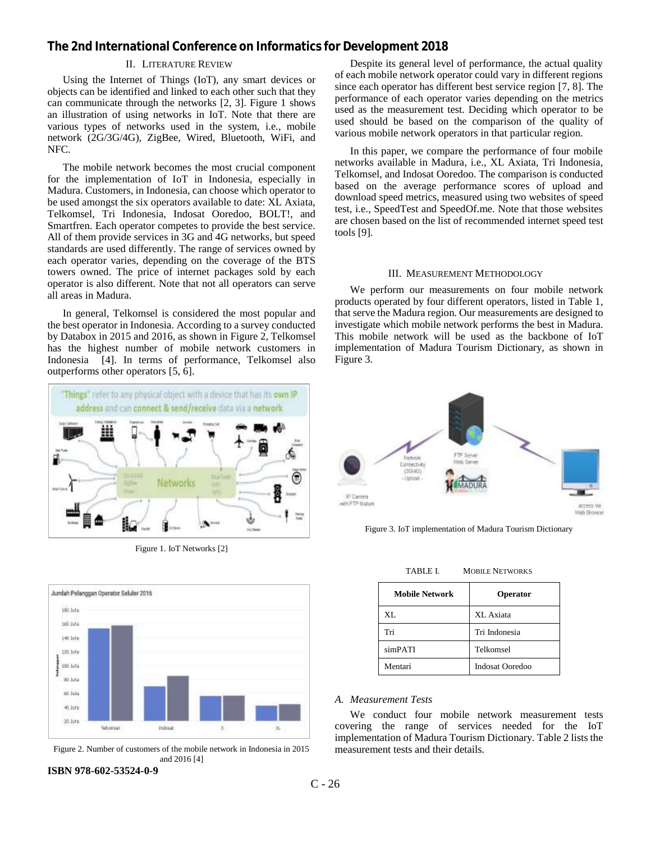## II. LITERATURE REVIEW

Using the Internet of Things (IoT), any smart devices or objects can be identified and linked to each other such that they can communicate through the networks [\[2,](#page-4-1) [3\]](#page-4-2). [Figure 1](#page-1-0) shows an illustration of using networks in IoT. Note that there are various types of networks used in the system, i.e., mobile network (2G/3G/4G), ZigBee, Wired, Bluetooth, WiFi, and NFC.

The mobile network becomes the most crucial component for the implementation of IoT in Indonesia, especially in Madura. Customers, in Indonesia, can choose which operator to be used amongst the six operators available to date: XL Axiata, Telkomsel, Tri Indonesia, Indosat Ooredoo, BOLT!, and Smartfren. Each operator competes to provide the best service. All of them provide services in 3G and 4G networks, but speed standards are used differently. The range of services owned by each operator varies, depending on the coverage of the BTS towers owned. The price of internet packages sold by each operator is also different. Note that not all operators can serve all areas in Madura.

In general, Telkomsel is considered the most popular and the best operator in Indonesia. According to a survey conducted by Databox in 2015 and 2016, as shown in [Figure 2,](#page-1-1) Telkomsel has the highest number of mobile network customers in Indonesia [\[4\]](#page-4-3). In terms of performance, Telkomsel also outperforms other operators [\[5,](#page-4-4) [6\]](#page-4-5).



Figure 1. IoT Networks [\[2\]](#page-4-1)

<span id="page-1-0"></span>

<span id="page-1-1"></span>Figure 2. Number of customers of the mobile network in Indonesia in 2015 and 2016 [\[4\]](#page-4-3)

#### **ISBN 978-602-53524-0-9**

Despite its general level of performance, the actual quality of each mobile network operator could vary in different regions since each operator has different best service region [\[7,](#page-4-6) [8\]](#page-4-7). The performance of each operator varies depending on the metrics used as the measurement test. Deciding which operator to be used should be based on the comparison of the quality of various mobile network operators in that particular region.

In this paper, we compare the performance of four mobile networks available in Madura, i.e., XL Axiata, Tri Indonesia, Telkomsel, and Indosat Ooredoo. The comparison is conducted based on the average performance scores of upload and download speed metrics, measured using two websites of speed test, i.e., SpeedTest and SpeedOf.me. Note that those websites are chosen based on the list of recommended internet speed test tools [\[9\]](#page-4-8).

#### III. MEASUREMENT METHODOLOGY

We perform our measurements on four mobile network products operated by four different operators, listed in Table 1, that serve the Madura region. Our measurements are designed to investigate which mobile network performs the best in Madura. This mobile network will be used as the backbone of IoT implementation of Madura Tourism Dictionary, as shown in [Figure 3.](#page-1-2)



<span id="page-1-2"></span>Figure 3. IoT implementation of Madura Tourism Dictionary

| <b>Mobile Network</b> | Operator               |
|-----------------------|------------------------|
| X <sub>L</sub>        | XL Axiata              |
| Tri                   | Tri Indonesia          |
| simPATI               | Telkomsel              |
| Mentari               | <b>Indosat Ooredoo</b> |

TABLE I. MOBILE NETWORKS

#### *A. Measurement Tests*

We conduct four mobile network measurement tests covering the range of services needed for the IoT implementation of Madura Tourism Dictionary. Table 2 lists the measurement tests and their details.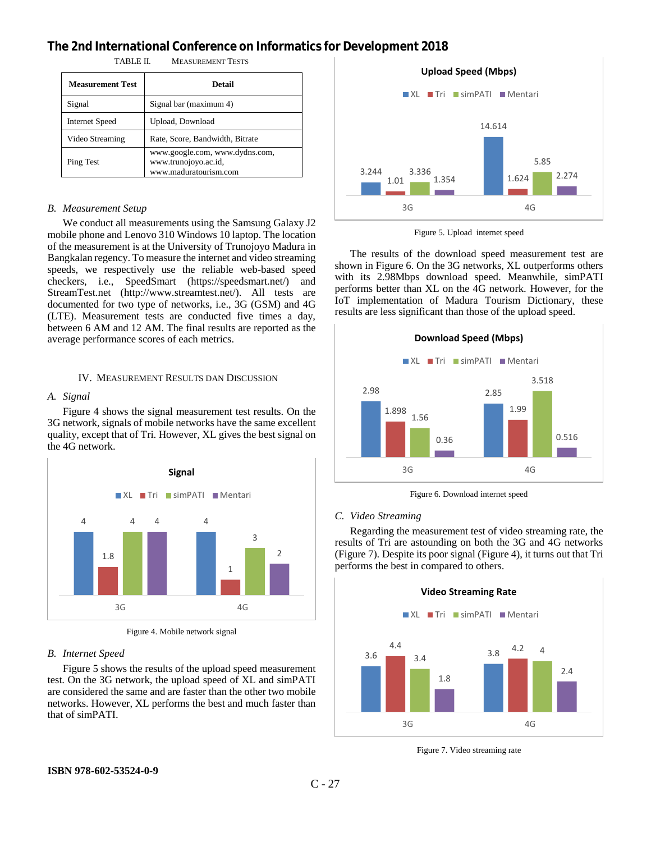| <b>Measurement Test</b> | Detail                                                                          |
|-------------------------|---------------------------------------------------------------------------------|
| Signal                  | Signal bar (maximum 4)                                                          |
| Internet Speed          | Upload, Download                                                                |
| Video Streaming         | Rate, Score, Bandwidth, Bitrate                                                 |
| Ping Test               | www.google.com, www.dydns.com,<br>www.trunojoyo.ac.id,<br>www.maduratourism.com |

TABLE II. MEASUREMENT TESTS

# *B. Measurement Setup*

We conduct all measurements using the Samsung Galaxy J2 mobile phone and Lenovo 310 Windows 10 laptop. The location of the measurement is at the University of Trunojoyo Madura in Bangkalan regency. To measure the internet and video streaming speeds, we respectively use the reliable web-based speed checkers, i.e., SpeedSmart (https://speedsmart.net/) and StreamTest.net (http://www.streamtest.net/). All tests are documented for two type of networks, i.e., 3G (GSM) and 4G (LTE). Measurement tests are conducted five times a day, between 6 AM and 12 AM. The final results are reported as the average performance scores of each metrics.

#### IV. MEASUREMENT RESULTS DAN DISCUSSION

#### *A. Signal*

[Figure 4](#page-2-0) shows the signal measurement test results. On the 3G network, signals of mobile networks have the same excellent quality, except that of Tri. However, XL gives the best signal on the 4G network.



Figure 4. Mobile network signal

#### <span id="page-2-0"></span>*B. Internet Speed*

[Figure 5](#page-2-1) shows the results of the upload speed measurement test. On the 3G network, the upload speed of XL and simPATI are considered the same and are faster than the other two mobile networks. However, XL performs the best and much faster than that of simPATI.



Figure 5. Upload internet speed

<span id="page-2-1"></span>The results of the download speed measurement test are shown i[n Figure 6.](#page-2-2) On the 3G networks, XL outperforms others with its 2.98Mbps download speed. Meanwhile, simPATI performs better than XL on the 4G network. However, for the IoT implementation of Madura Tourism Dictionary, these results are less significant than those of the upload speed.





#### <span id="page-2-2"></span>*C. Video Streaming*

Regarding the measurement test of video streaming rate, the results of Tri are astounding on both the 3G and 4G networks [\(Figure 7\)](#page-2-3). Despite its poor signal [\(Figure 4\)](#page-2-0), it turns out that Tri performs the best in compared to others.



<span id="page-2-3"></span>Figure 7. Video streaming rate

## **ISBN 978-602-53524-0-9**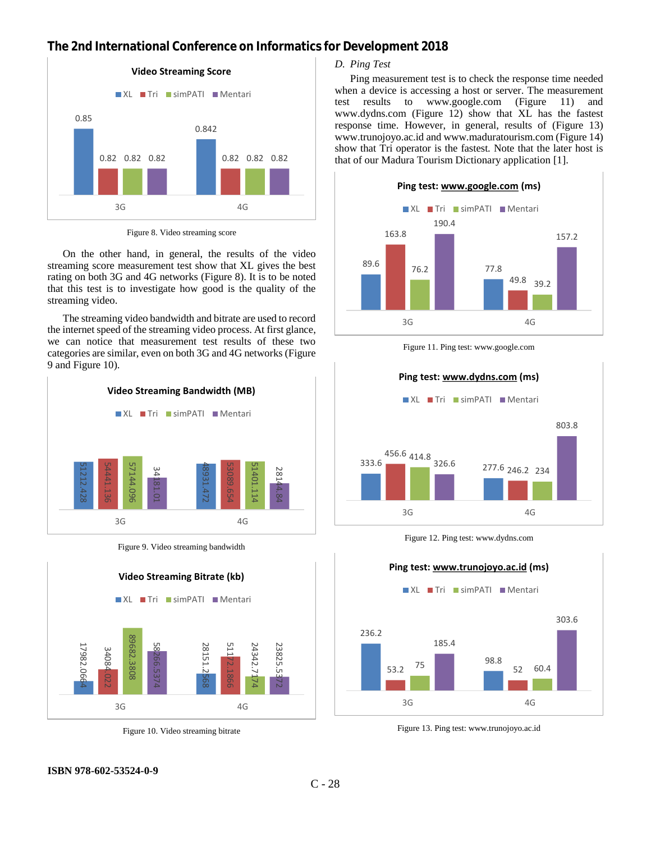

Figure 8. Video streaming score

<span id="page-3-0"></span>On the other hand, in general, the results of the video streaming score measurement test show that XL gives the best rating on both 3G and 4G networks [\(Figure](#page-3-0) 8). It is to be noted that this test is to investigate how good is the quality of the streaming video.

The streaming video bandwidth and bitrate are used to record the internet speed of the streaming video process. At first glance, we can notice that measurement test results of these two categories are similar, even on both 3G and 4G networks [\(Figure](#page-3-1)  [9](#page-3-1) and [Figure 10\)](#page-3-2).



Figure 9. Video streaming bandwidth

<span id="page-3-1"></span>

Figure 10. Video streaming bitrate

# *D. Ping Test*

Ping measurement test is to check the response time needed when a device is accessing a host or server. The measurement test results to www.google.com [\(Figure 11\)](#page-3-3) and www.dydns.com [\(Figure 12\)](#page-3-4) show that XL has the fastest response time. However, in general, results of [\(Figure 13\)](#page-3-5) www.trunojoyo.ac.id and www.maduratourism.com [\(Figure 14\)](#page-4-9) show that Tri operator is the fastest. Note that the later host is that of our Madura Tourism Dictionary application [\[1\]](#page-4-0).



Figure 11. Ping test: www.google.com

<span id="page-3-3"></span>

Figure 12. Ping test: www.dydns.com

<span id="page-3-4"></span>

<span id="page-3-5"></span>Figure 13. Ping test: www.trunojoyo.ac.id

<span id="page-3-2"></span>**ISBN 978-602-53524-0-9**